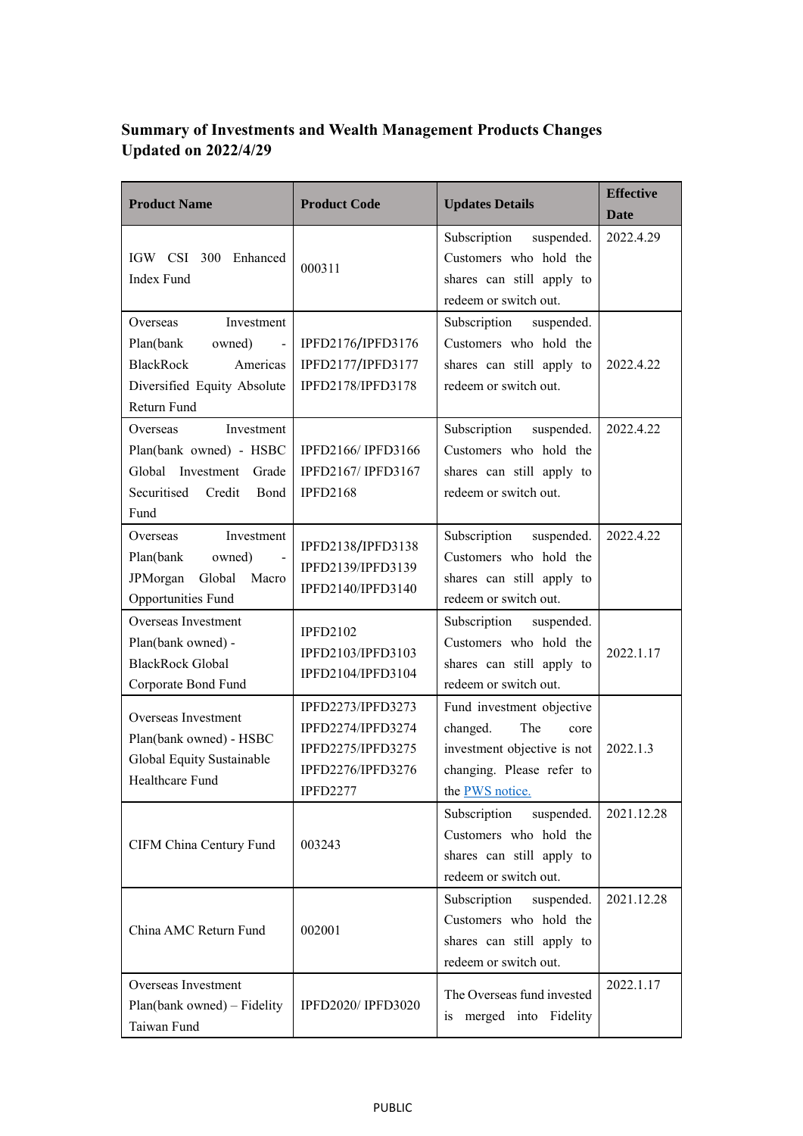## **Summary of Investments and Wealth Management Products Changes Updated on 2022/4/29**

| <b>Product Name</b>                                                                                                                   | <b>Product Code</b>                                                                                 | <b>Updates Details</b>                                                                                                              | <b>Effective</b><br><b>Date</b> |
|---------------------------------------------------------------------------------------------------------------------------------------|-----------------------------------------------------------------------------------------------------|-------------------------------------------------------------------------------------------------------------------------------------|---------------------------------|
| IGW CSI 300 Enhanced<br><b>Index Fund</b>                                                                                             | 000311                                                                                              | Subscription<br>suspended.<br>Customers who hold the<br>shares can still apply to<br>redeem or switch out.                          | 2022.4.29                       |
| Investment<br>Overseas<br>Plan(bank<br>owned)<br>$\sim$<br><b>BlackRock</b><br>Americas<br>Diversified Equity Absolute<br>Return Fund | IPFD2176/IPFD3176<br>IPFD2177/IPFD3177<br>IPFD2178/IPFD3178                                         | Subscription suspended.<br>Customers who hold the<br>shares can still apply to<br>redeem or switch out.                             | 2022.4.22                       |
| Investment<br>Overseas<br>Plan(bank owned) - HSBC<br>Global Investment Grade<br>Securitised<br>Credit<br>Bond<br>Fund                 | <b>IPFD2166/IPFD3166</b><br>IPFD2167/ IPFD3167<br><b>IPFD2168</b>                                   | Subscription<br>suspended.<br>Customers who hold the<br>shares can still apply to<br>redeem or switch out.                          | 2022.4.22                       |
| Investment<br>Overseas<br>Plan(bank<br>owned)<br>Global<br>JPMorgan<br>Macro<br><b>Opportunities Fund</b>                             | IPFD2138/IPFD3138<br>IPFD2139/IPFD3139<br>IPFD2140/IPFD3140                                         | Subscription<br>suspended.<br>Customers who hold the<br>shares can still apply to<br>redeem or switch out.                          | 2022.4.22                       |
| Overseas Investment<br>Plan(bank owned) -<br><b>BlackRock Global</b><br>Corporate Bond Fund                                           | <b>IPFD2102</b><br>IPFD2103/IPFD3103<br>IPFD2104/IPFD3104                                           | Subscription<br>suspended.<br>Customers who hold the<br>shares can still apply to<br>redeem or switch out.                          | 2022.1.17                       |
| Overseas Investment<br>Plan(bank owned) - HSBC<br>Global Equity Sustainable<br>Healthcare Fund                                        | IPFD2273/IPFD3273<br>IPFD2274/IPFD3274<br>IPFD2275/IPFD3275<br>IPFD2276/IPFD3276<br><b>IPFD2277</b> | Fund investment objective<br>The<br>changed.<br>core<br>investment objective is not<br>changing. Please refer to<br>the PWS notice. | 2022.1.3                        |
| CIFM China Century Fund                                                                                                               | 003243                                                                                              | Subscription<br>suspended.<br>Customers who hold the<br>shares can still apply to<br>redeem or switch out.                          | 2021.12.28                      |
| China AMC Return Fund                                                                                                                 | 002001                                                                                              | Subscription<br>suspended.<br>Customers who hold the<br>shares can still apply to<br>redeem or switch out.                          | 2021.12.28                      |
| Overseas Investment<br>Plan(bank owned) - Fidelity<br>Taiwan Fund                                                                     | <b>IPFD2020/IPFD3020</b>                                                                            | The Overseas fund invested<br>is merged into Fidelity                                                                               | 2022.1.17                       |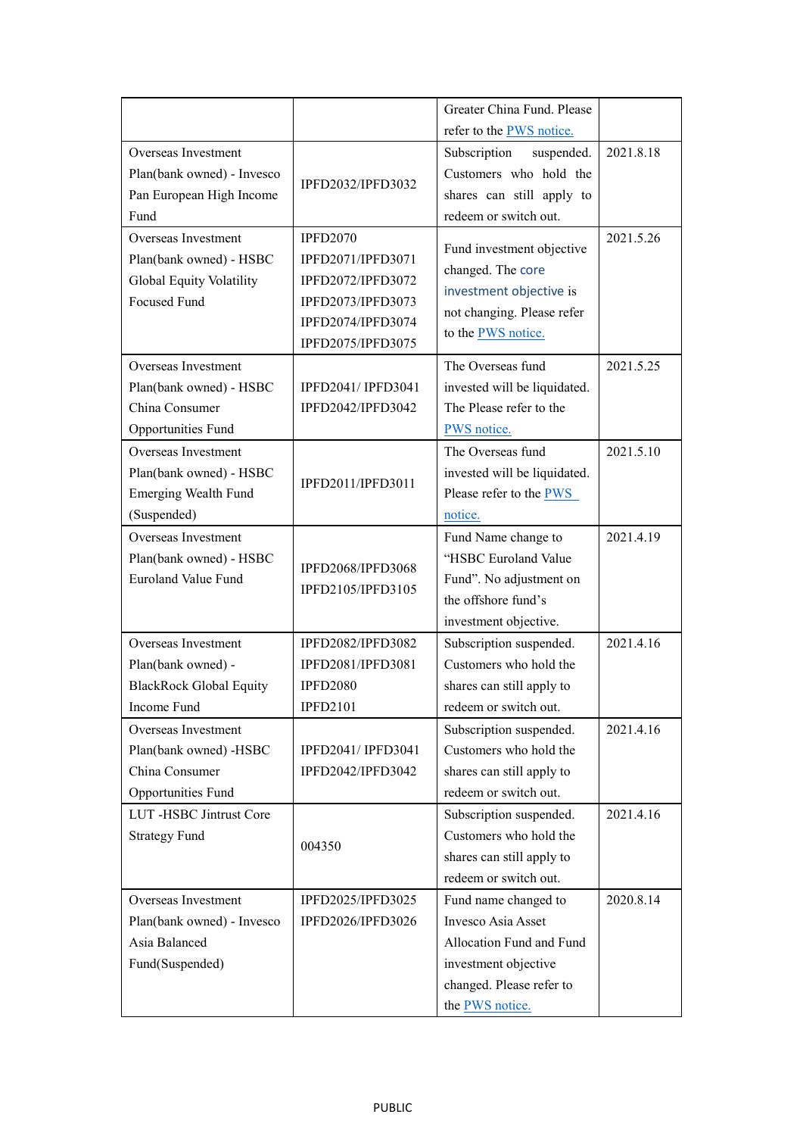|                                |                    | Greater China Fund. Please   |           |
|--------------------------------|--------------------|------------------------------|-----------|
|                                |                    | refer to the PWS notice.     |           |
| Overseas Investment            |                    | Subscription<br>suspended.   | 2021.8.18 |
| Plan(bank owned) - Invesco     | IPFD2032/IPFD3032  | Customers who hold the       |           |
| Pan European High Income       |                    | shares can still apply to    |           |
| Fund                           |                    | redeem or switch out.        |           |
| Overseas Investment            | <b>IPFD2070</b>    | Fund investment objective    | 2021.5.26 |
| Plan(bank owned) - HSBC        | IPFD2071/IPFD3071  | changed. The core            |           |
| Global Equity Volatility       | IPFD2072/IPFD3072  | investment objective is      |           |
| Focused Fund                   | IPFD2073/IPFD3073  | not changing. Please refer   |           |
|                                | IPFD2074/IPFD3074  | to the <b>PWS</b> notice.    |           |
|                                | IPFD2075/IPFD3075  |                              |           |
| Overseas Investment            |                    | The Overseas fund            | 2021.5.25 |
| Plan(bank owned) - HSBC        | IPFD2041/ IPFD3041 | invested will be liquidated. |           |
| China Consumer                 | IPFD2042/IPFD3042  | The Please refer to the      |           |
| Opportunities Fund             |                    | PWS notice.                  |           |
| Overseas Investment            |                    | The Overseas fund            | 2021.5.10 |
| Plan(bank owned) - HSBC        | IPFD2011/IPFD3011  | invested will be liquidated. |           |
| <b>Emerging Wealth Fund</b>    |                    | Please refer to the PWS      |           |
| (Suspended)                    |                    | notice.                      |           |
| Overseas Investment            |                    | Fund Name change to          | 2021.4.19 |
| Plan(bank owned) - HSBC        | IPFD2068/IPFD3068  | "HSBC Euroland Value         |           |
| <b>Euroland Value Fund</b>     | IPFD2105/IPFD3105  | Fund". No adjustment on      |           |
|                                |                    | the offshore fund's          |           |
|                                |                    | investment objective.        |           |
| Overseas Investment            | IPFD2082/IPFD3082  | Subscription suspended.      | 2021.4.16 |
| Plan(bank owned) -             | IPFD2081/IPFD3081  | Customers who hold the       |           |
| <b>BlackRock Global Equity</b> | <b>IPFD2080</b>    | shares can still apply to    |           |
| Income Fund                    | <b>IPFD2101</b>    | redeem or switch out.        |           |
| Overseas Investment            |                    | Subscription suspended.      | 2021.4.16 |
| Plan(bank owned) -HSBC         | IPFD2041/ IPFD3041 | Customers who hold the       |           |
| China Consumer                 | IPFD2042/IPFD3042  | shares can still apply to    |           |
| Opportunities Fund             |                    | redeem or switch out.        |           |
| LUT-HSBC Jintrust Core         |                    | Subscription suspended.      | 2021.4.16 |
| <b>Strategy Fund</b>           | 004350             | Customers who hold the       |           |
|                                |                    | shares can still apply to    |           |
|                                |                    | redeem or switch out.        |           |
| Overseas Investment            | IPFD2025/IPFD3025  | Fund name changed to         | 2020.8.14 |
| Plan(bank owned) - Invesco     | IPFD2026/IPFD3026  | Invesco Asia Asset           |           |
| Asia Balanced                  |                    | Allocation Fund and Fund     |           |
| Fund(Suspended)                |                    | investment objective         |           |
|                                |                    | changed. Please refer to     |           |
|                                |                    | the PWS notice.              |           |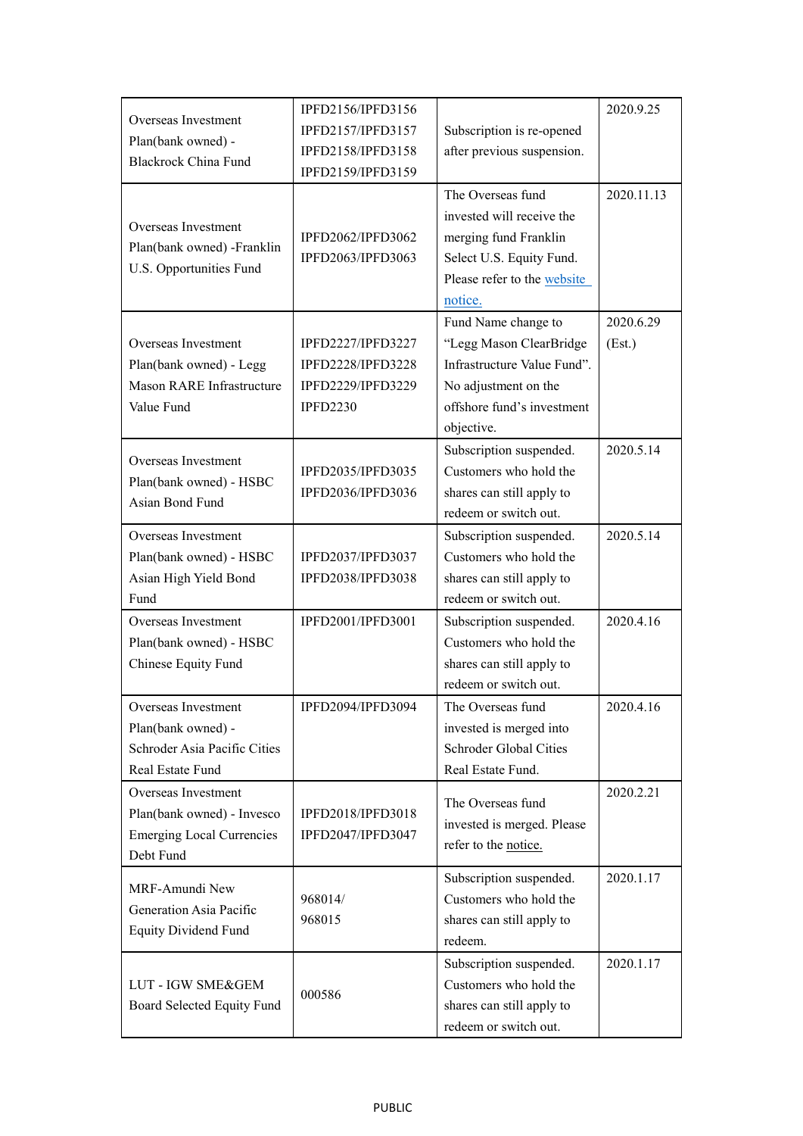|                                                 | IPFD2156/IPFD3156        |                             | 2020.9.25  |
|-------------------------------------------------|--------------------------|-----------------------------|------------|
| Overseas Investment                             | IPFD2157/IPFD3157        | Subscription is re-opened   |            |
| Plan(bank owned) -                              | IPFD2158/IPFD3158        | after previous suspension.  |            |
| <b>Blackrock China Fund</b>                     | IPFD2159/IPFD3159        |                             |            |
|                                                 |                          | The Overseas fund           | 2020.11.13 |
| Overseas Investment                             |                          | invested will receive the   |            |
|                                                 | IPFD2062/IPFD3062        | merging fund Franklin       |            |
| Plan(bank owned) -Franklin                      | IPFD2063/IPFD3063        | Select U.S. Equity Fund.    |            |
| U.S. Opportunities Fund                         |                          | Please refer to the website |            |
|                                                 |                          | notice.                     |            |
|                                                 |                          | Fund Name change to         | 2020.6.29  |
| Overseas Investment                             | <b>IPFD2227/IPFD3227</b> | "Legg Mason ClearBridge     | (Est.)     |
| Plan(bank owned) - Legg                         | <b>IPFD2228/IPFD3228</b> | Infrastructure Value Fund". |            |
| Mason RARE Infrastructure                       | IPFD2229/IPFD3229        | No adjustment on the        |            |
| Value Fund                                      | <b>IPFD2230</b>          | offshore fund's investment  |            |
|                                                 |                          | objective.                  |            |
|                                                 |                          | Subscription suspended.     | 2020.5.14  |
| Overseas Investment                             | IPFD2035/IPFD3035        | Customers who hold the      |            |
| Plan(bank owned) - HSBC                         | IPFD2036/IPFD3036        | shares can still apply to   |            |
| Asian Bond Fund                                 |                          | redeem or switch out.       |            |
| Overseas Investment                             |                          | Subscription suspended.     | 2020.5.14  |
| Plan(bank owned) - HSBC                         | IPFD2037/IPFD3037        | Customers who hold the      |            |
| Asian High Yield Bond                           | IPFD2038/IPFD3038        | shares can still apply to   |            |
| Fund                                            |                          | redeem or switch out.       |            |
| Overseas Investment                             | IPFD2001/IPFD3001        | Subscription suspended.     | 2020.4.16  |
| Plan(bank owned) - HSBC                         |                          | Customers who hold the      |            |
| Chinese Equity Fund                             |                          | shares can still apply to   |            |
|                                                 |                          | redeem or switch out.       |            |
| Overseas Investment                             | IPFD2094/IPFD3094        | The Overseas fund           | 2020.4.16  |
| Plan(bank owned) -                              |                          | invested is merged into     |            |
| Schroder Asia Pacific Cities                    |                          | Schroder Global Cities      |            |
| Real Estate Fund                                |                          | Real Estate Fund.           |            |
| Overseas Investment                             |                          | The Overseas fund           | 2020.2.21  |
| Plan(bank owned) - Invesco                      | IPFD2018/IPFD3018        | invested is merged. Please  |            |
| <b>Emerging Local Currencies</b>                | IPFD2047/IPFD3047        |                             |            |
| Debt Fund                                       |                          | refer to the notice.        |            |
| MRF-Amundi New                                  |                          | Subscription suspended.     | 2020.1.17  |
| Generation Asia Pacific                         | 968014/                  | Customers who hold the      |            |
| <b>Equity Dividend Fund</b>                     | 968015                   | shares can still apply to   |            |
|                                                 |                          | redeem.                     |            |
|                                                 |                          | Subscription suspended.     | 2020.1.17  |
| LUT - IGW SME&GEM<br>Board Selected Equity Fund | 000586                   | Customers who hold the      |            |
|                                                 |                          | shares can still apply to   |            |
|                                                 |                          | redeem or switch out.       |            |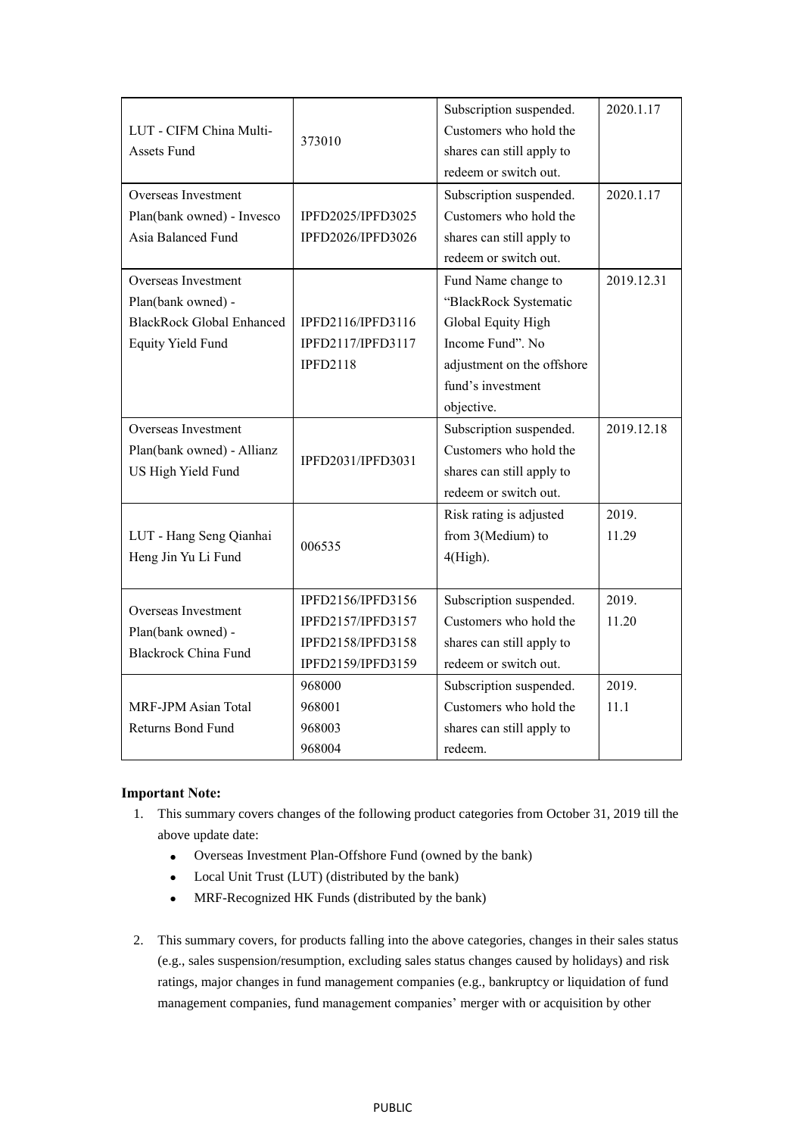|                                                |                   | Subscription suspended.    | 2020.1.17  |
|------------------------------------------------|-------------------|----------------------------|------------|
| LUT - CIFM China Multi-<br><b>Assets Fund</b>  | 373010            | Customers who hold the     |            |
|                                                |                   | shares can still apply to  |            |
|                                                |                   | redeem or switch out.      |            |
| Overseas Investment                            |                   | Subscription suspended.    | 2020.1.17  |
| Plan(bank owned) - Invesco                     | IPFD2025/IPFD3025 | Customers who hold the     |            |
| Asia Balanced Fund                             | IPFD2026/IPFD3026 | shares can still apply to  |            |
|                                                |                   | redeem or switch out.      |            |
| Overseas Investment                            |                   | Fund Name change to        | 2019.12.31 |
| Plan(bank owned) -                             |                   | "BlackRock Systematic      |            |
| <b>BlackRock Global Enhanced</b>               | IPFD2116/IPFD3116 | Global Equity High         |            |
| <b>Equity Yield Fund</b>                       | IPFD2117/IPFD3117 | Income Fund". No           |            |
|                                                | <b>IPFD2118</b>   | adjustment on the offshore |            |
|                                                |                   | fund's investment          |            |
|                                                |                   | objective.                 |            |
| Overseas Investment                            |                   | Subscription suspended.    | 2019.12.18 |
| Plan(bank owned) - Allianz                     |                   | Customers who hold the     |            |
| US High Yield Fund                             | IPFD2031/IPFD3031 | shares can still apply to  |            |
|                                                |                   | redeem or switch out.      |            |
|                                                | 006535            | Risk rating is adjusted    | 2019.      |
| LUT - Hang Seng Qianhai<br>Heng Jin Yu Li Fund |                   | from 3(Medium) to          | 11.29      |
|                                                |                   | $4(High)$ .                |            |
|                                                |                   |                            |            |
| Overseas Investment                            | IPFD2156/IPFD3156 | Subscription suspended.    | 2019.      |
| Plan(bank owned) -                             | IPFD2157/IPFD3157 | Customers who hold the     | 11.20      |
| <b>Blackrock China Fund</b>                    | IPFD2158/IPFD3158 | shares can still apply to  |            |
|                                                | IPFD2159/IPFD3159 | redeem or switch out.      |            |
|                                                | 968000            | Subscription suspended.    | 2019.      |
| MRF-JPM Asian Total                            | 968001            | Customers who hold the     | 11.1       |
| Returns Bond Fund                              | 968003            | shares can still apply to  |            |
|                                                | 968004            | redeem.                    |            |

## **Important Note:**

- 1. This summary covers changes of the following product categories from October 31, 2019 till the above update date:
	- Overseas Investment Plan-Offshore Fund (owned by the bank)
	- Local Unit Trust (LUT) (distributed by the bank)
	- MRF-Recognized HK Funds (distributed by the bank)
- 2. This summary covers, for products falling into the above categories, changes in their sales status (e.g., sales suspension/resumption, excluding sales status changes caused by holidays) and risk ratings, major changes in fund management companies (e.g., bankruptcy or liquidation of fund management companies, fund management companies' merger with or acquisition by other